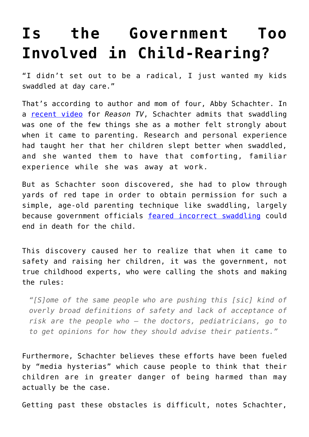## **[Is the Government Too](https://intellectualtakeout.org/2016/10/is-the-government-too-involved-in-child-rearing/) [Involved in Child-Rearing?](https://intellectualtakeout.org/2016/10/is-the-government-too-involved-in-child-rearing/)**

"I didn't set out to be a radical, I just wanted my kids swaddled at day care."

That's according to author and mom of four, Abby Schachter. In a [recent video](http://reason.com/reasontv/2016/10/17/abby-schachter-no-child-left-alone-getti) for *Reason TV*, Schachter admits that swaddling was one of the few things she as a mother felt strongly about when it came to parenting. Research and personal experience had taught her that her children slept better when swaddled, and she wanted them to have that comforting, familiar experience while she was away at work.

But as Schachter soon discovered, she had to plow through yards of red tape in order to obtain permission for such a simple, age-old parenting technique like swaddling, largely because government officials [feared incorrect swaddling](http://reason.com/archives/2013/11/02/pennsylvania-nannies-ban-swaddling-in-da) could end in death for the child.

This discovery caused her to realize that when it came to safety and raising her children, it was the government, not true childhood experts, who were calling the shots and making the rules:

*"[S]ome of the same people who are pushing this [sic] kind of overly broad definitions of safety and lack of acceptance of risk are the people who – the doctors, pediatricians, go to to get opinions for how they should advise their patients."*

Furthermore, Schachter believes these efforts have been fueled by "media hysterias" which cause people to think that their children are in greater danger of being harmed than may actually be the case.

Getting past these obstacles is difficult, notes Schachter,